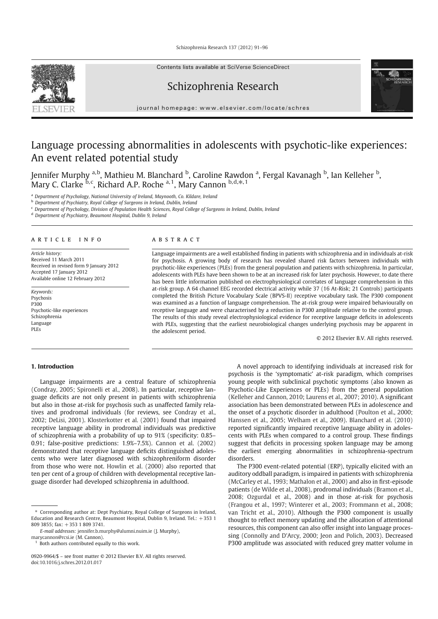Schizophrenia Research 137 (2012) 91–96

Contents lists available at SciVerse ScienceDirect



Schizophrenia Research



journal homepage: www.elsevier.com/locate/schres

# Language processing abnormalities in adolescents with psychotic-like experiences: An event related potential study

Jennifer Murphy <sup>a,b</sup>, Mathieu M. Blanchard <sup>b</sup>, Caroline Rawdon <sup>a</sup>, Fergal Kavanagh <sup>b</sup>, Ian Kelleher <sup>b</sup>, Mary C. Clarke <sup>b,c</sup>, Richard A.P. Roche <sup>a, 1</sup>, Mary Cannon b,d,\*, 1

<sup>a</sup> Department of Psychology, National University of Ireland, Maynooth, Co. Kildare, Ireland

<sup>b</sup> Department of Psychiatry, Royal College of Surgeons in Ireland, Dublin, Ireland

<sup>c</sup> Department of Psychology, Division of Population Health Sciences, Royal College of Surgeons in Ireland, Dublin, Ireland

<sup>d</sup> Department of Psychiatry, Beaumont Hospital, Dublin 9, Ireland

# article info abstract

Article history: Received 11 March 2011 Received in revised form 9 January 2012 Accepted 17 January 2012 Available online 12 February 2012

Keywords: Psychosis P300 Psychotic-like experiences Schizophrenia Language PLEs

Language impairments are a well established finding in patients with schizophrenia and in individuals at-risk for psychosis. A growing body of research has revealed shared risk factors between individuals with psychotic-like experiences (PLEs) from the general population and patients with schizophrenia. In particular, adolescents with PLEs have been shown to be at an increased risk for later psychosis. However, to date there has been little information published on electrophysiological correlates of language comprehension in this at-risk group. A 64 channel EEG recorded electrical activity while 37 (16 At-Risk; 21 Controls) participants completed the British Picture Vocabulary Scale (BPVS-II) receptive vocabulary task. The P300 component was examined as a function of language comprehension. The at-risk group were impaired behaviourally on receptive language and were characterised by a reduction in P300 amplitude relative to the control group. The results of this study reveal electrophysiological evidence for receptive language deficits in adolescents with PLEs, suggesting that the earliest neurobiological changes underlying psychosis may be apparent in the adolescent period.

© 2012 Elsevier B.V. All rights reserved.

# 1. Introduction

Language impairments are a central feature of schizophrenia (Condray, 2005; Spironelli et al., 2008). In particular, receptive language deficits are not only present in patients with schizophrenia but also in those at-risk for psychosis such as unaffected family relatives and prodromal individuals (for reviews, see Condray et al., 2002; DeLisi, 2001). Klosterkotter et al. (2001) found that impaired receptive language ability in prodromal individuals was predictive of schizophrenia with a probability of up to 91% (specificity: 0.85– 0.91; false-positive predictions: 1.9%–7.5%). Cannon et al. (2002) demonstrated that receptive language deficits distinguished adolescents who were later diagnosed with schizophreniform disorder from those who were not. Howlin et al. (2000) also reported that ten per cent of a group of children with developmental receptive language disorder had developed schizophrenia in adulthood.

E-mail addresses: jennifer.b.murphy@alumni.nuim.ie (J. Murphy), marycannon@rcsi.ie (M. Cannon).

Both authors contributed equally to this work.

A novel approach to identifying individuals at increased risk for psychosis is the 'symptomatic' at-risk paradigm, which comprises young people with subclinical psychotic symptoms (also known as Psychotic-Like Experiences or PLEs) from the general population (Kelleher and Cannon, 2010; Laurens et al., 2007; 2010). A significant association has been demonstrated between PLEs in adolescence and the onset of a psychotic disorder in adulthood (Poulton et al., 2000; Hanssen et al., 2005; Welham et al., 2009). Blanchard et al. (2010) reported significantly impaired receptive language ability in adolescents with PLEs when compared to a control group. These findings suggest that deficits in processing spoken language may be among the earliest emerging abnormalities in schizophrenia-spectrum disorders.

The P300 event-related potential (ERP), typically elicited with an auditory oddball paradigm, is impaired in patients with schizophrenia (McCarley et al., 1993; Mathalon et al., 2000) and also in first-episode patients (de Wilde et al., 2008), prodromal individuals (Bramon et al., 2008; Ozgurdal et al., 2008) and in those at-risk for psychosis (Frangou et al., 1997; Winterer et al., 2003; Frommann et al., 2008; van Tricht et al., 2010). Although the P300 component is usually thought to reflect memory updating and the allocation of attentional resources, this component can also offer insight into language processing (Connolly and D'Arcy, 2000; Jeon and Polich, 2003). Decreased P300 amplitude was associated with reduced grey matter volume in

<sup>⁎</sup> Corresponding author at: Dept Psychiatry, Royal College of Surgeons in Ireland, Education and Research Centre, Beaumont Hospital, Dublin 9, Ireland. Tel.: +353 1  $809$  3855; fax:  $+353$  1 809 3741.

<sup>0920-9964/\$</sup> – see front matter © 2012 Elsevier B.V. All rights reserved. doi:10.1016/j.schres.2012.01.017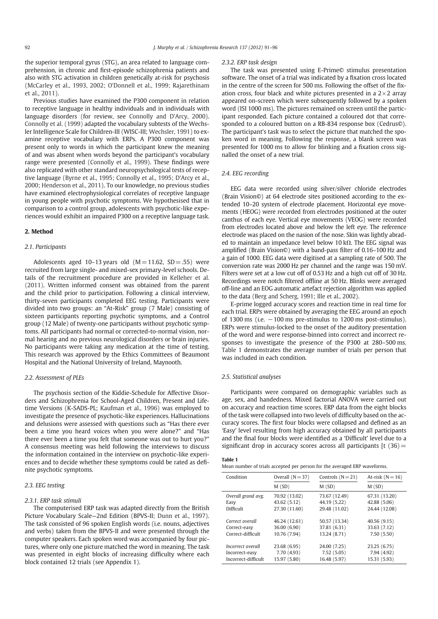the superior temporal gyrus (STG), an area related to language comprehension, in chronic and first-episode schizophrenia patients and also with STG activation in children genetically at-risk for psychosis (McCarley et al., 1993, 2002; O'Donnell et al., 1999; Rajarethinam et al., 2011).

Previous studies have examined the P300 component in relation to receptive language in healthy individuals and in individuals with language disorders (for review, see Connolly and D'Arcy, 2000). Connolly et al. (1999) adapted the vocabulary subtests of the Wechsler Intelligence Scale for Children-III (WISC-III; Wechsler, 1991) to examine receptive vocabulary with ERPs. A P300 component was present only to words in which the participant knew the meaning of and was absent when words beyond the participant's vocabulary range were presented (Connolly et al., 1999). These findings were also replicated with other standard neuropsychological tests of receptive language (Byrne et al., 1995; Connolly et al., 1995; D'Arcy et al., 2000; Henderson et al., 2011). To our knowledge, no previous studies have examined electrophysiological correlates of receptive language in young people with psychotic symptoms. We hypothesised that in comparison to a control group, adolescents with psychotic-like experiences would exhibit an impaired P300 on a receptive language task.

# 2. Method

# 2.1. Participants

Adolescents aged 10–13 years old  $(M= 11.62, SD = .55)$  were recruited from large single- and mixed-sex primary-level schools. Details of the recruitment procedure are provided in Kelleher et al. (2011). Written informed consent was obtained from the parent and the child prior to participation. Following a clinical interview, thirty-seven participants completed EEG testing. Participants were divided into two groups: an "At-Risk" group (7 Male) consisting of sixteen participants reporting psychotic symptoms, and a Control group (12 Male) of twenty-one participants without psychotic symptoms. All participants had normal or corrected-to-normal vision, normal hearing and no previous neurological disorders or brain injuries. No participants were taking any medication at the time of testing. This research was approved by the Ethics Committees of Beaumont Hospital and the National University of Ireland, Maynooth.

#### 2.2. Assessment of PLEs

The psychosis section of the Kiddie-Schedule for Affective Disorders and Schizophrenia for School-Aged Children, Present and Lifetime Versions (K-SADS-PL; Kaufman et al., 1996) was employed to investigate the presence of psychotic-like experiences. Hallucinations and delusions were assessed with questions such as "Has there ever been a time you heard voices when you were alone?" and "Has there ever been a time you felt that someone was out to hurt you?" A consensus meeting was held following the interviews to discuss the information contained in the interview on psychotic-like experiences and to decide whether these symptoms could be rated as definite psychotic symptoms.

# 2.3. EEG testing

#### 2.3.1. ERP task stimuli

The computerised ERP task was adapted directly from the British Picture Vocabulary Scale—2nd Edition (BPVS-II; Dunn et al., 1997). The task consisted of 96 spoken English words (i.e. nouns, adjectives and verbs) taken from the BPVS-II and were presented through the computer speakers. Each spoken word was accompanied by four pictures, where only one picture matched the word in meaning. The task was presented in eight blocks of increasing difficulty where each block contained 12 trials (see Appendix 1).

#### 2.3.2. ERP task design

The task was presented using E-Prime© stimulus presentation software. The onset of a trial was indicated by a fixation cross located in the centre of the screen for 500 ms. Following the offset of the fixation cross, four black and white pictures presented in a  $2 \times 2$  array appeared on-screen which were subsequently followed by a spoken word (ISI 1000 ms). The pictures remained on screen until the participant responded. Each picture contained a coloured dot that corresponded to a coloured button on a RB-834 response box (Cedrus©). The participant's task was to select the picture that matched the spoken word in meaning. Following the response, a blank screen was presented for 1000 ms to allow for blinking and a fixation cross signalled the onset of a new trial.

# 2.4. EEG recording

EEG data were recorded using silver/silver chloride electrodes (Brain Vision©) at 64 electrode sites positioned according to the extended 10–20 system of electrode placement. Horizontal eye movements (HEOG) were recorded from electrodes positioned at the outer canthus of each eye. Vertical eye movements (VEOG) were recorded from electrodes located above and below the left eye. The reference electrode was placed on the nasion of the nose. Skin was lightly abraded to maintain an impedance level below 10 kΩ. The EEG signal was amplified (Brain Vision©) with a band-pass filter of 0.16–100 Hz and a gain of 1000. EEG data were digitised at a sampling rate of 500. The conversion rate was 2000 Hz per channel and the range was 150 mV. Filters were set at a low cut off of 0.53 Hz and a high cut off of 30 Hz. Recordings were notch filtered offline at 50 Hz. Blinks were averaged off-line and an EOG automatic artefact rejection algorithm was applied to the data (Berg and Scherg, 1991; Ille et al., 2002).

E-prime logged accuracy scores and reaction time in real time for each trial. ERPs were obtained by averaging the EEG around an epoch of 1300 ms (i.e.  $-100$  ms pre-stimulus to 1200 ms post-stimulus). ERPs were stimulus-locked to the onset of the auditory presentation of the word and were response-binned into correct and incorrect responses to investigate the presence of the P300 at 280–500 ms. Table 1 demonstrates the average number of trials per person that was included in each condition.

## 2.5. Statistical analyses

Participants were compared on demographic variables such as age, sex, and handedness. Mixed factorial ANOVA were carried out on accuracy and reaction time scores. ERP data from the eight blocks of the task were collapsed into two levels of difficulty based on the accuracy scores. The first four blocks were collapsed and defined as an 'Easy' level resulting from high accuracy obtained by all participants and the final four blocks were identified as a 'Difficult' level due to a significant drop in accuracy scores across all participants  $[t(36)$  =

#### Table 1

Mean number of trials accepted per person for the averaged ERP waveforms.

| Condition           | Overall $(N = 37)$ | Controls $(N=21)$ | At-risk $(N = 16)$ |
|---------------------|--------------------|-------------------|--------------------|
|                     | M(SD)              | M(SD)             | M(SD)              |
| Overall grand avg.  | 70.92 (13.02)      | 73.67 (12.49)     | 67.31 (13.20)      |
| Easy                | 43.62 (5.12)       | 44.19 (5.22)      | 42.88 (5.06)       |
| Difficult           | 27.30 (11.60)      | 29.48 (11.02)     | 24.44 (12.08)      |
|                     |                    |                   |                    |
| Correct overall     | 46.24 (12.61)      | 50.57 (13.34)     | 40.56 (9.15)       |
| Correct-easy        | 36.00 (6.90)       | 37.81 (6.31)      | 33.63 (7.12)       |
| Correct-difficult   | 10.76 (7.94)       | 13.24 (8.71)      | 7.50(5.50)         |
| Incorrect overall   | 23.68 (6.95)       | 24.00 (7.25)      | 23.25 (6.75)       |
| Incorrect-easy      | 7.70 (4.93)        | 7.52(5.05)        | 7.94 (4.92)        |
| Incorrect-difficult | 15.97 (5.80)       | 16.48 (5.97)      | 15.31 (5.93)       |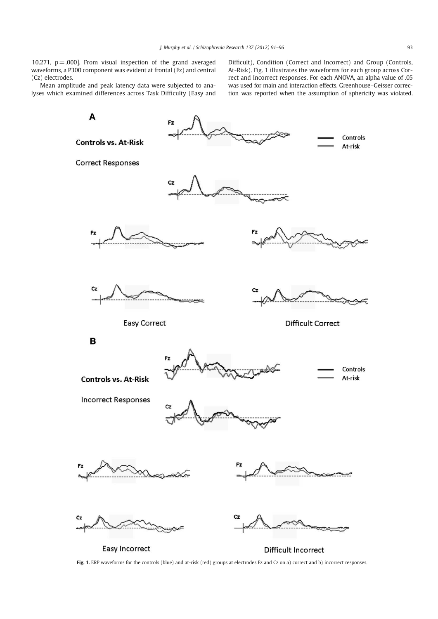10.271,  $p = .000$ ]. From visual inspection of the grand averaged waveforms, a P300 component was evident at frontal (Fz) and central (Cz) electrodes.

Mean amplitude and peak latency data were subjected to analyses which examined differences across Task Difficulty (Easy and Difficult), Condition (Correct and Incorrect) and Group (Controls, At-Risk). Fig. 1 illustrates the waveforms for each group across Correct and Incorrect responses. For each ANOVA, an alpha value of .05 was used for main and interaction effects. Greenhouse–Geisser correction was reported when the assumption of sphericity was violated.



Fig. 1. ERP waveforms for the controls (blue) and at-risk (red) groups at electrodes Fz and Cz on a) correct and b) incorrect responses.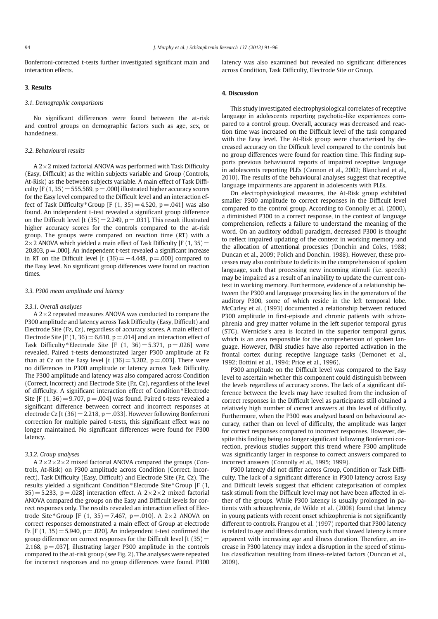Bonferroni-corrected t-tests further investigated significant main and interaction effects.

# 3. Results

## 3.1. Demographic comparisons

No significant differences were found between the at-risk and control groups on demographic factors such as age, sex, or handedness.

# 3.2. Behavioural results

 $A$  2  $\times$  2 mixed factorial ANOVA was performed with Task Difficulty (Easy, Difficult) as the within subjects variable and Group (Controls, At-Risk) as the between subjects variable. A main effect of Task Difficulty  $[F(1, 35) = 555.569, p = .000]$  illustrated higher accuracy scores for the Easy level compared to the Difficult level and an interaction effect of Task Difficulty<sup>\*</sup>Group [F (1, 35) = 4.520, p = .041] was also found. An independent t-test revealed a significant group difference on the Difficult level  $[t (35) = 2.249, p = .031]$ . This result illustrated higher accuracy scores for the controls compared to the at-risk group. The groups were compared on reaction time (RT) with a  $2\times2$  ANOVA which yielded a main effect of Task Difficulty [F (1, 35) = 20.803,  $p = .000$ ]. An independent t-test revealed a significant increase in RT on the Difficult level [t (36) =  $-4.448$ , p = .000] compared to the Easy level. No significant group differences were found on reaction times.

#### 3.3. P300 mean amplitude and latency

#### 3.3.1. Overall analyses

 $A$  2 $\times$  2 repeated measures ANOVA was conducted to compare the P300 amplitude and latency across Task Difficulty (Easy, Difficult) and Electrode Site (Fz, Cz), regardless of accuracy scores. A main effect of Electrode Site [F (1, 36) = 6.610,  $p = .014$ ] and an interaction effect of Task Difficulty\*Electrode Site [F  $(1, 36) = 5.371$ , p=.026] were revealed. Paired t-tests demonstrated larger P300 amplitude at Fz than at Cz on the Easy level [t  $(36) = 3.202$ , p = .003]. There were no differences in P300 amplitude or latency across Task Difficulty. The P300 amplitude and latency was also compared across Condition (Correct, Incorrect) and Electrode Site (Fz, Cz), regardless of the level of difficulty. A significant interaction effect of Condition\*Electrode Site  $[F(1, 36) = 9.707, p = .004]$  was found. Paired t-tests revealed a significant difference between correct and incorrect responses at electrode Cz [t (36) = 2.218, p = .033]. However following Bonferroni correction for multiple paired t-tests, this significant effect was no longer maintained. No significant differences were found for P300 latency.

## 3.3.2. Group analyses

 $A 2 \times 2 \times 2 \times 2$  mixed factorial ANOVA compared the groups (Controls, At-Risk) on P300 amplitude across Condition (Correct, Incorrect), Task Difficulty (Easy, Difficult) and Electrode Site (Fz, Cz). The results yielded a significant Condition\*Electrode Site\*Group [F (1, 35) = 5.233, p = .028] interaction effect. A  $2 \times 2 \times 2$  mixed factorial ANOVA compared the groups on the Easy and Difficult levels for correct responses only. The results revealed an interaction effect of Electrode Site\*Group [F (1, 35) = 7.467, p = .010]. A  $2 \times 2$  ANOVA on correct responses demonstrated a main effect of Group at electrode Fz  $[F (1, 35) = 5.940, p = .020]$ . An independent t-test confirmed the group difference on correct responses for the Difficult level  $[t(35)$  = 2.168,  $p = .037$ ], illustrating larger P300 amplitude in the controls compared to the at-risk group (see Fig. 2). The analyses were repeated for incorrect responses and no group differences were found. P300 latency was also examined but revealed no significant differences across Condition, Task Difficulty, Electrode Site or Group.

# 4. Discussion

This study investigated electrophysiological correlates of receptive language in adolescents reporting psychotic-like experiences compared to a control group. Overall, accuracy was decreased and reaction time was increased on the Difficult level of the task compared with the Easy level. The At-Risk group were characterised by decreased accuracy on the Difficult level compared to the controls but no group differences were found for reaction time. This finding supports previous behavioural reports of impaired receptive language in adolescents reporting PLEs (Cannon et al., 2002; Blanchard et al., 2010). The results of the behavioural analyses suggest that receptive language impairments are apparent in adolescents with PLEs.

On electrophysiological measures, the At-Risk group exhibited smaller P300 amplitude to correct responses in the Difficult level compared to the control group. According to Connolly et al. (2000), a diminished P300 to a correct response, in the context of language comprehension, reflects a failure to understand the meaning of the word. On an auditory oddball paradigm, decreased P300 is thought to reflect impaired updating of the context in working memory and the allocation of attentional processes (Donchin and Coles, 1988; Duncan et al., 2009; Polich and Donchin, 1988). However, these processes may also contribute to deficits in the comprehension of spoken language, such that processing new incoming stimuli (i.e. speech) may be impaired as a result of an inability to update the current context in working memory. Furthermore, evidence of a relationship between the P300 and language processing lies in the generators of the auditory P300, some of which reside in the left temporal lobe. McCarley et al. (1993) documented a relationship between reduced P300 amplitude in first-episode and chronic patients with schizophrenia and grey matter volume in the left superior temporal gyrus (STG). Wernicke's area is located in the superior temporal gyrus, which is an area responsible for the comprehension of spoken language. However, fMRI studies have also reported activation in the frontal cortex during receptive language tasks (Demonet et al., 1992; Bottini et al., 1994; Price et al., 1996).

P300 amplitude on the Difficult level was compared to the Easy level to ascertain whether this component could distinguish between the levels regardless of accuracy scores. The lack of a significant difference between the levels may have resulted from the inclusion of correct responses in the Difficult level as participants still obtained a relatively high number of correct answers at this level of difficulty. Furthermore, when the P300 was analysed based on behavioural accuracy, rather than on level of difficulty, the amplitude was larger for correct responses compared to incorrect responses. However, despite this finding being no longer significant following Bonferroni correction, previous studies support this trend where P300 amplitude was significantly larger in response to correct answers compared to incorrect answers (Connolly et al., 1995; 1999).

P300 latency did not differ across Group, Condition or Task Difficulty. The lack of a significant difference in P300 latency across Easy and Difficult levels suggest that efficient categorisation of complex task stimuli from the Difficult level may not have been affected in either of the groups. While P300 latency is usually prolonged in patients with schizophrenia, de Wilde et al. (2008) found that latency in young patients with recent onset schizophrenia is not significantly different to controls. Frangou et al. (1997) reported that P300 latency is related to age and illness duration, such that slowed latency is more apparent with increasing age and illness duration. Therefore, an increase in P300 latency may index a disruption in the speed of stimulus classification resulting from illness-related factors (Duncan et al., 2009).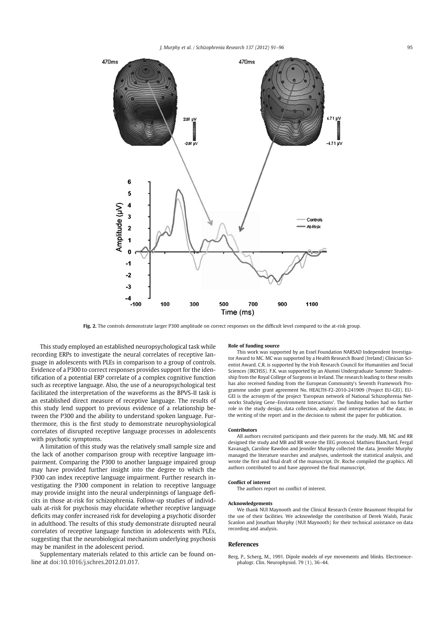

Fig. 2. The controls demonstrate larger P300 amplitude on correct responses on the difficult level compared to the at-risk group.

This study employed an established neuropsychological task while recording ERPs to investigate the neural correlates of receptive language in adolescents with PLEs in comparison to a group of controls. Evidence of a P300 to correct responses provides support for the identification of a potential ERP correlate of a complex cognitive function such as receptive language. Also, the use of a neuropsychological test facilitated the interpretation of the waveforms as the BPVS-II task is an established direct measure of receptive language. The results of this study lend support to previous evidence of a relationship between the P300 and the ability to understand spoken language. Furthermore, this is the first study to demonstrate neurophysiological correlates of disrupted receptive language processes in adolescents with psychotic symptoms.

A limitation of this study was the relatively small sample size and the lack of another comparison group with receptive language impairment. Comparing the P300 to another language impaired group may have provided further insight into the degree to which the P300 can index receptive language impairment. Further research investigating the P300 component in relation to receptive language may provide insight into the neural underpinnings of language deficits in those at-risk for schizophrenia. Follow-up studies of individuals at-risk for psychosis may elucidate whether receptive language deficits may confer increased risk for developing a psychotic disorder in adulthood. The results of this study demonstrate disrupted neural correlates of receptive language function in adolescents with PLEs, suggesting that the neurobiological mechanism underlying psychosis may be manifest in the adolescent period.

Supplementary materials related to this article can be found online at doi:10.1016/j.schres.2012.01.017.

#### Role of funding source

This work was supported by an Essel Foundation NARSAD Independent Investigator Award to MC. MC was supported by a Health Research Board (Ireland) Clinician Scientist Award. C.R. is supported by the Irish Research Council for Humanities and Social Sciences (IRCHSS). F.K. was supported by an Alumni Undergraduate Summer Studentship from the Royal College of Surgeons in Ireland. The research leading to these results has also received funding from the European Community's Seventh Framework Programme under grant agreement No. HEALTH-F2-2010-241909 (Project EU-GEI). EU-GEI is the acronym of the project 'European network of National Schizophrenia Networks Studying Gene–Environment Interactions'. The funding bodies had no further role in the study design, data collection, analysis and interpretation of the data; in the writing of the report and in the decision to submit the paper for publication.

#### Contributors

All authors recruited participants and their parents for the study. MB, MC and RR designed the study and MB and RR wrote the EEG protocol. Mathieu Blanchard, Fergal Kavanagh, Caroline Rawdon and Jennifer Murphy collected the data. Jennifer Murphy managed the literature searches and analyses, undertook the statistical analysis, and wrote the first and final draft of the manuscript. Dr. Roche compiled the graphics. All authors contributed to and have approved the final manuscript.

#### Conflict of interest

The authors report no conflict of interest.

#### Acknowledgements

We thank NUI Maynooth and the Clinical Research Centre Beaumont Hospital for the use of their facilities. We acknowledge the contribution of Derek Walsh, Paraic Scanlon and Jonathan Murphy (NUI Maynooth) for their technical assistance on data recording and analysis.

#### References

Berg, P., Scherg, M., 1991. Dipole models of eye movements and blinks. Electroencephalogr. Clin. Neurophysiol. 79 (1), 36–44.